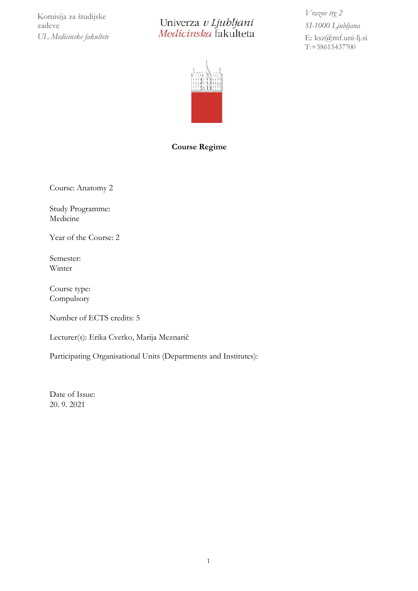Komisija za študijske zadeve *UL Medicinske fakultete*

Univerza v Ljubljani<br>Medicinska fakulteta

*Vrazov trg 2 SI-1000 Ljubljana* E: [ksz@mf.uni-lj.si](mailto:ksz@mf.uni-lj.si) T:+38615437700



#### **Course Regime**

Course: Anatomy 2

Study Programme: Medicine

Year of the Course: 2

Semester: Winter

Course type: **Compulsory** 

Number of ECTS credits: 5

Lecturer(s): Erika Cvetko, Marija Meznarič

Participating Organisational Units (Departments and Institutes):

Date of Issue: 20. 9. 2021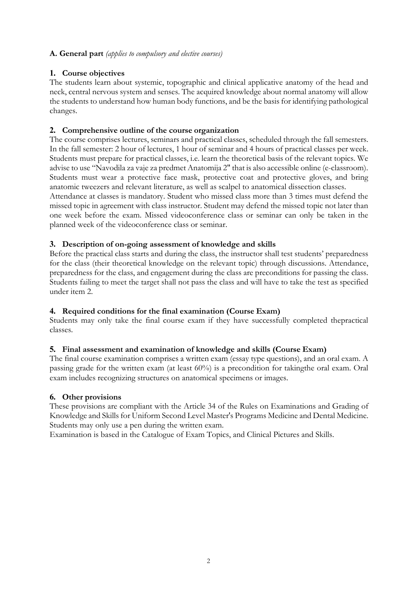## **A. General part** *(applies to compulsory and elective courses)*

# **1. Course objectives**

The students learn about systemic, topographic and clinical applicative anatomy of the head and neck, central nervous system and senses. The acquired knowledge about normal anatomy will allow the students to understand how human body functions, and be the basis for identifying pathological changes.

## **2. Comprehensive outline of the course organization**

The course comprises lectures, seminars and practical classes, scheduled through the fall semesters. In the fall semester: 2 hour of lectures, 1 hour of seminar and 4 hours of practical classes per week. Students must prepare for practical classes, i.e. learn the theoretical basis of the relevant topics. We advise to use "Navodila za vaje za predmet Anatomija 2" that is also accessible online (e-classroom). Students must wear a protective face mask, protective coat and protective gloves, and bring anatomic tweezers and relevant literature, as well as scalpel to anatomical dissection classes.

Attendance at classes is mandatory. Student who missed class more than 3 times must defend the missed topic in agreement with class instructor. Student may defend the missed topic not later than one week before the exam. Missed videoconference class or seminar can only be taken in the planned week of the videoconference class or seminar.

## **3. Description of on-going assessment of knowledge and skills**

Before the practical class starts and during the class, the instructor shall test students' preparedness for the class (their theoretical knowledge on the relevant topic) through discussions. Attendance, preparedness for the class, and engagement during the class are preconditions for passing the class. Students failing to meet the target shall not pass the class and will have to take the test as specified under item 2.

## **4. Required conditions for the final examination (Course Exam)**

Students may only take the final course exam if they have successfully completed thepractical classes.

## **5. Final assessment and examination of knowledge and skills (Course Exam)**

The final course examination comprises a written exam (essay type questions), and an oral exam. A passing grade for the written exam (at least 60%) is a precondition for takingthe oral exam. Oral exam includes recognizing structures on anatomical specimens or images.

## **6. Other provisions**

These provisions are compliant with the Article 34 of the Rules on Examinations and Grading of Knowledge and Skills for Uniform Second Level Master's Programs Medicine and Dental Medicine. Students may only use a pen during the written exam.

Examination is based in the Catalogue of Exam Topics, and Clinical Pictures and Skills.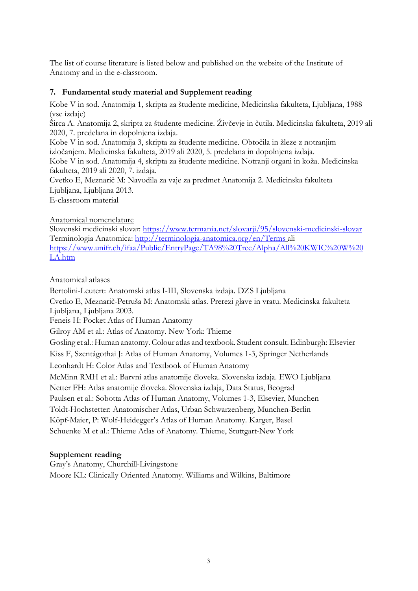The list of course literature is listed below and published on the website of the Institute of Anatomy and in the e-classroom.

#### **7. Fundamental study material and Supplement reading**

Kobe V in sod. Anatomija 1, skripta za študente medicine, Medicinska fakulteta, Ljubljana, 1988 (vse izdaje)

Širca A. Anatomija 2, skripta za študente medicine. Živčevje in čutila. Medicinska fakulteta, 2019 ali 2020, 7. predelana in dopolnjena izdaja.

Kobe V in sod. Anatomija 3, skripta za študente medicine. Obtočila in žleze z notranjim izločanjem. Medicinska fakulteta, 2019 ali 2020, 5. predelana in dopolnjena izdaja.

Kobe V in sod. Anatomija 4, skripta za študente medicine. Notranji organi in koža. Medicinska fakulteta, 2019 ali 2020, 7. izdaja.

Cvetko E, Meznarič M: Navodila za vaje za predmet Anatomija 2. Medicinska fakulteta Ljubljana, Ljubljana 2013.

E-classroom material

#### Anatomical nomenclature

Slovenski medicinski slovar:<https://www.termania.net/slovarji/95/slovenski-medicinski-slovar> Terminologia Anatomica:<http://terminologia-anatomica.org/en/Terms> ali [https://www.unifr.ch/ifaa/Public/EntryPage/TA98%20Tree/Alpha/All%20KWIC%20W%20](https://www.unifr.ch/ifaa/Public/EntryPage/TA98%20Tree/Alpha/All%20KWIC%20W%20LA.htm) [LA.htm](https://www.unifr.ch/ifaa/Public/EntryPage/TA98%20Tree/Alpha/All%20KWIC%20W%20LA.htm)

#### Anatomical atlases

Bertolini-Leutert: Anatomski atlas I-III, Slovenska izdaja. DZS Ljubljana Cvetko E, Meznarič-Petruša M: Anatomski atlas. Prerezi glave in vratu. Medicinska fakulteta Ljubljana, Ljubljana 2003.

Feneis H: Pocket Atlas of Human Anatomy

Gilroy AM et al.: Atlas of Anatomy. New York: Thieme

Gosling et al.: Human anatomy. Colour atlas and textbook. Student consult.Edinburgh: Elsevier

Kiss F, Szentágothai J: Atlas of Human Anatomy, Volumes 1-3, Springer Netherlands

Leonhardt H: Color Atlas and Textbook of Human Anatomy

McMinn RMH et al.: Barvni atlas anatomije človeka. Slovenska izdaja. EWO Ljubljana

Netter FH: Atlas anatomije človeka. Slovenska izdaja, Data Status, Beograd

Paulsen et al.: Sobotta Atlas of Human Anatomy, Volumes 1-3, Elsevier, Munchen

Toldt-Hochstetter: Anatomischer Atlas, Urban Schwarzenberg, Munchen-Berlin

Köpf-Maier, P: Wolf-Heidegger's Atlas of Human Anatomy. Karger, Basel

Schuenke M et al.: Thieme Atlas of Anatomy. Thieme, Stuttgart-New York

#### **Supplement reading**

Gray's Anatomy, Churchill-Livingstone Moore KL: Clinically Oriented Anatomy. Williams and Wilkins, Baltimore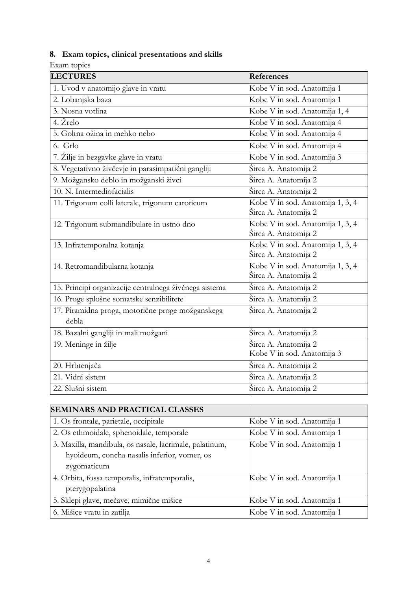# **8. Exam topics, clinical presentations and skills**

Exam topics

| <b>LECTURES</b>                                           | <b>References</b>                                        |
|-----------------------------------------------------------|----------------------------------------------------------|
| 1. Uvod v anatomijo glave in vratu                        | Kobe V in sod. Anatomija 1                               |
| 2. Lobanjska baza                                         | Kobe V in sod. Anatomija 1                               |
| 3. Nosna votlina                                          | Kobe V in sod. Anatomija 1, 4                            |
| 4. Žrelo                                                  | Kobe V in sod. Anatomija 4                               |
| 5. Goltna ožina in mehko nebo                             | Kobe V in sod. Anatomija 4                               |
| 6. Grlo                                                   | Kobe V in sod. Anatomija 4                               |
| 7. Žilje in bezgavke glave in vratu                       | Kobe V in sod. Anatomija 3                               |
| 8. Vegetativno živčevje in parasimpatični gangliji        | Širca A. Anatomija 2                                     |
| 9. Možgansko deblo in možganski živci                     | Širca A. Anatomija 2                                     |
| 10. N. Intermediofacialis                                 | Širca A. Anatomija 2                                     |
| 11. Trigonum colli laterale, trigonum caroticum           | Kobe V in sod. Anatomija 1, 3, 4<br>Širca A. Anatomija 2 |
| 12. Trigonum submandibulare in ustno dno                  | Kobe V in sod. Anatomija 1, 3, 4<br>Širca A. Anatomija 2 |
| 13. Infratemporalna kotanja                               | Kobe V in sod. Anatomija 1, 3, 4<br>Širca A. Anatomija 2 |
| 14. Retromandibularna kotanja                             | Kobe V in sod. Anatomija 1, 3, 4<br>Širca A. Anatomija 2 |
| 15. Principi organizacije centralnega živčnega sistema    | Širca A. Anatomija 2                                     |
| 16. Proge splošne somatske senzibilitete                  | Širca A. Anatomija 2                                     |
| 17. Piramidna proga, motorične proge možganskega<br>debla | Širca A. Anatomija 2                                     |
| 18. Bazalni gangliji in mali možgani                      | Širca A. Anatomija 2                                     |
| 19. Meninge in žilje                                      | Širca A. Anatomija 2<br>Kobe V in sod. Anatomija 3       |
| 20. Hrbtenjača                                            | Širca A. Anatomija 2                                     |
| 21. Vidni sistem                                          | Širca A. Anatomija 2                                     |
| 22. Slušni sistem                                         | Širca A. Anatomija 2                                     |

| <b>SEMINARS AND PRACTICAL CLASSES</b>                   |                            |
|---------------------------------------------------------|----------------------------|
| 1. Os frontale, parietale, occipitale                   | Kobe V in sod. Anatomija 1 |
| 2. Os ethmoidale, sphenoidale, temporale                | Kobe V in sod. Anatomija 1 |
| 3. Maxilla, mandibula, os nasale, lacrimale, palatinum, | Kobe V in sod. Anatomija 1 |
| hyoideum, concha nasalis inferior, vomer, os            |                            |
| zygomaticum                                             |                            |
| 4. Orbita, fossa temporalis, infratemporalis,           | Kobe V in sod. Anatomija 1 |
| pterygopalatina                                         |                            |
| 5. Sklepi glave, mečave, mimične mišice                 | Kobe V in sod. Anatomija 1 |
| 6. Mišice vratu in zatilja                              | Kobe V in sod. Anatomija 1 |